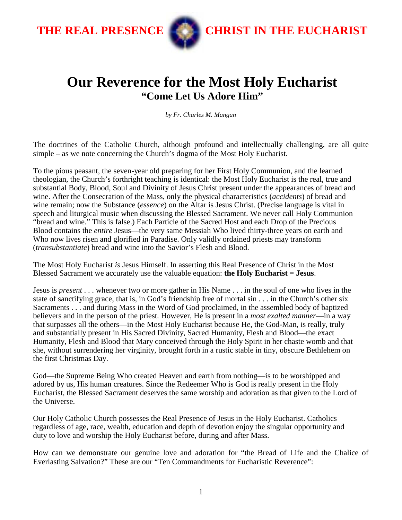

THE REAL PRESENCE **CHRIST IN THE EUCHARIST** 

## **Our Reverence for the Most Holy Eucharist "Come Let Us Adore Him"**

*by Fr. Charles M. Mangan* 

The doctrines of the Catholic Church, although profound and intellectually challenging, are all quite simple – as we note concerning the Church's dogma of the Most Holy Eucharist.

To the pious peasant, the seven-year old preparing for her First Holy Communion, and the learned theologian, the Church's forthright teaching is identical: the Most Holy Eucharist is the real, true and substantial Body, Blood, Soul and Divinity of Jesus Christ present under the appearances of bread and wine. After the Consecration of the Mass, only the physical characteristics (*accidents*) of bread and wine remain; now the Substance (*essence*) on the Altar is Jesus Christ. (Precise language is vital in speech and liturgical music when discussing the Blessed Sacrament. We never call Holy Communion "bread and wine." This is false.) Each Particle of the Sacred Host and each Drop of the Precious Blood contains the *entire* Jesus—the very same Messiah Who lived thirty-three years on earth and Who now lives risen and glorified in Paradise. Only validly ordained priests may transform (*transubstantiate*) bread and wine into the Savior's Flesh and Blood.

The Most Holy Eucharist *is* Jesus Himself. In asserting this Real Presence of Christ in the Most Blessed Sacrament we accurately use the valuable equation: **the Holy Eucharist = Jesus**.

Jesus is *present* . . . whenever two or more gather in His Name . . . in the soul of one who lives in the state of sanctifying grace, that is, in God's friendship free of mortal sin . . . in the Church's other six Sacraments . . . and during Mass in the Word of God proclaimed, in the assembled body of baptized believers and in the person of the priest. However, He is present in a *most exalted manner*—in a way that surpasses all the others—in the Most Holy Eucharist because He, the God-Man, is really, truly and substantially present in His Sacred Divinity, Sacred Humanity, Flesh and Blood—the exact Humanity, Flesh and Blood that Mary conceived through the Holy Spirit in her chaste womb and that she, without surrendering her virginity, brought forth in a rustic stable in tiny, obscure Bethlehem on the first Christmas Day.

God—the Supreme Being Who created Heaven and earth from nothing—is to be worshipped and adored by us, His human creatures. Since the Redeemer Who is God is really present in the Holy Eucharist, the Blessed Sacrament deserves the same worship and adoration as that given to the Lord of the Universe.

Our Holy Catholic Church possesses the Real Presence of Jesus in the Holy Eucharist. Catholics regardless of age, race, wealth, education and depth of devotion enjoy the singular opportunity and duty to love and worship the Holy Eucharist before, during and after Mass.

How can we demonstrate our genuine love and adoration for "the Bread of Life and the Chalice of Everlasting Salvation?" These are our "Ten Commandments for Eucharistic Reverence":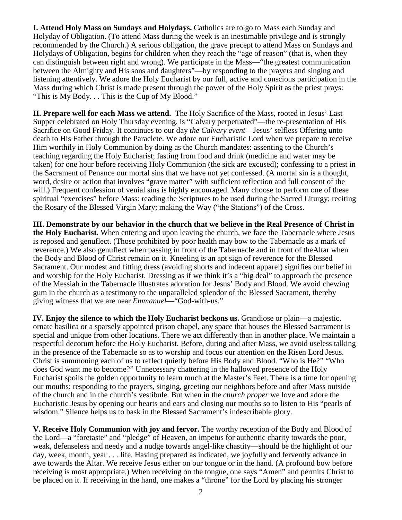**I. Attend Holy Mass on Sundays and Holydays.** Catholics are to go to Mass each Sunday and Holyday of Obligation. (To attend Mass during the week is an inestimable privilege and is strongly recommended by the Church.) A serious obligation, the grave precept to attend Mass on Sundays and Holydays of Obligation, begins for children when they reach the "age of reason" (that is, when they can distinguish between right and wrong). We participate in the Mass—"the greatest communication between the Almighty and His sons and daughters"—by responding to the prayers and singing and listening attentively. We adore the Holy Eucharist by our full, active and conscious participation in the Mass during which Christ is made present through the power of the Holy Spirit as the priest prays: "This is My Body. . . This is the Cup of My Blood."

**II. Prepare well for each Mass we attend.** The Holy Sacrifice of the Mass, rooted in Jesus' Last Supper celebrated on Holy Thursday evening, is "Calvary perpetuated"—the re-presentation of His Sacrifice on Good Friday. It continues to our day *the Calvary event*—Jesus' selfless Offering unto death to His Father through the Paraclete. We adore our Eucharistic Lord when we prepare to receive Him worthily in Holy Communion by doing as the Church mandates: assenting to the Church's teaching regarding the Holy Eucharist; fasting from food and drink (medicine and water may be taken) for one hour before receiving Holy Communion (the sick are excused); confessing to a priest in the Sacrament of Penance our mortal sins that we have not yet confessed. (A mortal sin is a thought, word, desire or action that involves "grave matter" with sufficient reflection and full consent of the will.) Frequent confession of venial sins is highly encouraged. Many choose to perform one of these spiritual "exercises" before Mass: reading the Scriptures to be used during the Sacred Liturgy; reciting the Rosary of the Blessed Virgin Mary; making the Way ("the Stations") of the Cross.

**III. Demonstrate by our behavior in the church that we believe in the Real Presence of Christ in the Holy Eucharist.** When entering and upon leaving the church, we face the Tabernacle where Jesus is reposed and genuflect. (Those prohibited by poor health may bow to the Tabernacle as a mark of reverence.) We also genuflect when passing in front of the Tabernacle and in front of theAltar when the Body and Blood of Christ remain on it. Kneeling is an apt sign of reverence for the Blessed Sacrament. Our modest and fitting dress (avoiding shorts and indecent apparel) signifies our belief in and worship for the Holy Eucharist. Dressing as if we think it's a "big deal" to approach the presence of the Messiah in the Tabernacle illustrates adoration for Jesus' Body and Blood. We avoid chewing gum in the church as a testimony to the unparalleled splendor of the Blessed Sacrament, thereby giving witness that we are near *Emmanuel*—"God-with-us."

**IV. Enjoy the silence to which the Holy Eucharist beckons us.** Grandiose or plain—a majestic, ornate basilica or a sparsely appointed prison chapel, any space that houses the Blessed Sacrament is special and unique from other locations. There we act differently than in another place. We maintain a respectful decorum before the Holy Eucharist. Before, during and after Mass, we avoid useless talking in the presence of the Tabernacle so as to worship and focus our attention on the Risen Lord Jesus. Christ is summoning each of us to reflect quietly before His Body and Blood. "Who is He?" "Who does God want me to become?" Unnecessary chattering in the hallowed presence of the Holy Eucharist spoils the golden opportunity to learn much at the Master's Feet. There is a time for opening our mouths: responding to the prayers, singing, greeting our neighbors before and after Mass outside of the church and in the church's vestibule. But when in the *church proper* we love and adore the Eucharistic Jesus by opening our hearts and ears and closing our mouths so to listen to His "pearls of wisdom." Silence helps us to bask in the Blessed Sacrament's indescribable glory.

**V. Receive Holy Communion with joy and fervor.** The worthy reception of the Body and Blood of the Lord—a "foretaste" and "pledge" of Heaven, an impetus for authentic charity towards the poor, weak, defenseless and needy and a nudge towards angel-like chastity—should be the highlight of our day, week, month, year . . . life. Having prepared as indicated, we joyfully and fervently advance in awe towards the Altar. We receive Jesus either on our tongue or in the hand. (A profound bow before receiving is most appropriate.) When receiving on the tongue, one says "Amen" and permits Christ to be placed on it. If receiving in the hand, one makes a "throne" for the Lord by placing his stronger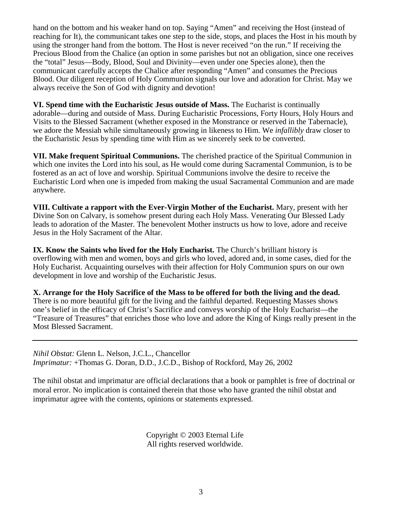hand on the bottom and his weaker hand on top. Saying "Amen" and receiving the Host (instead of reaching for It), the communicant takes one step to the side, stops, and places the Host in his mouth by using the stronger hand from the bottom. The Host is never received "on the run." If receiving the Precious Blood from the Chalice (an option in some parishes but not an obligation, since one receives the "total" Jesus—Body, Blood, Soul and Divinity—even under one Species alone), then the communicant carefully accepts the Chalice after responding "Amen" and consumes the Precious Blood. Our diligent reception of Holy Communion signals our love and adoration for Christ. May we always receive the Son of God with dignity and devotion!

**VI. Spend time with the Eucharistic Jesus outside of Mass.** The Eucharist is continually adorable—during and outside of Mass. During Eucharistic Processions, Forty Hours, Holy Hours and Visits to the Blessed Sacrament (whether exposed in the Monstrance or reserved in the Tabernacle), we adore the Messiah while simultaneously growing in likeness to Him. We *infallibly* draw closer to the Eucharistic Jesus by spending time with Him as we sincerely seek to be converted.

**VII. Make frequent Spiritual Communions.** The cherished practice of the Spiritual Communion in which one invites the Lord into his soul, as He would come during Sacramental Communion, is to be fostered as an act of love and worship. Spiritual Communions involve the desire to receive the Eucharistic Lord when one is impeded from making the usual Sacramental Communion and are made anywhere.

**VIII. Cultivate a rapport with the Ever-Virgin Mother of the Eucharist.** Mary, present with her Divine Son on Calvary, is somehow present during each Holy Mass. Venerating Our Blessed Lady leads to adoration of the Master. The benevolent Mother instructs us how to love, adore and receive Jesus in the Holy Sacrament of the Altar.

**IX. Know the Saints who lived for the Holy Eucharist.** The Church's brilliant history is overflowing with men and women, boys and girls who loved, adored and, in some cases, died for the Holy Eucharist. Acquainting ourselves with their affection for Holy Communion spurs on our own development in love and worship of the Eucharistic Jesus.

**X. Arrange for the Holy Sacrifice of the Mass to be offered for both the living and the dead.**  There is no more beautiful gift for the living and the faithful departed. Requesting Masses shows one's belief in the efficacy of Christ's Sacrifice and conveys worship of the Holy Eucharist—the "Treasure of Treasures" that enriches those who love and adore the King of Kings really present in the Most Blessed Sacrament.

*Nihil Obstat:* Glenn L. Nelson, J.C.L., Chancellor *Imprimatur:* +Thomas G. Doran, D.D., J.C.D., Bishop of Rockford, May 26, 2002

The nihil obstat and imprimatur are official declarations that a book or pamphlet is free of doctrinal or moral error. No implication is contained therein that those who have granted the nihil obstat and imprimatur agree with the contents, opinions or statements expressed.

> Copyright © 2003 Eternal Life All rights reserved worldwide.